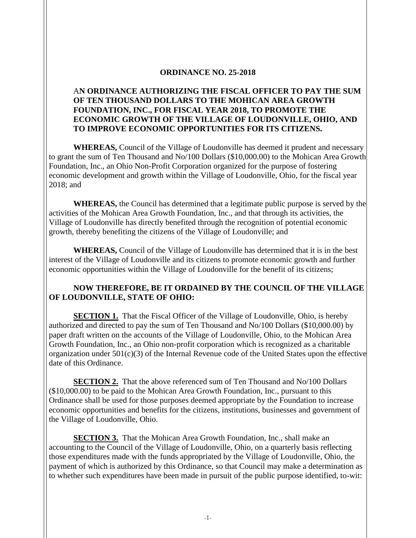## **ORDINANCE NO. 25-2018**

## A**N ORDINANCE AUTHORIZING THE FISCAL OFFICER TO PAY THE SUM OF TEN THOUSAND DOLLARS TO THE MOHICAN AREA GROWTH FOUNDATION, INC., FOR FISCAL YEAR 2018, TO PROMOTE THE ECONOMIC GROWTH OF THE VILLAGE OF LOUDONVILLE, OHIO, AND TO IMPROVE ECONOMIC OPPORTUNITIES FOR ITS CITIZENS.**

**WHEREAS,** Council of the Village of Loudonville has deemed it prudent and necessary to grant the sum of Ten Thousand and No/100 Dollars (\$10,000.00) to the Mohican Area Growth Foundation, Inc., an Ohio Non-Profit Corporation organized for the purpose of fostering economic development and growth within the Village of Loudonville, Ohio, for the fiscal year 2018; and

**WHEREAS,** the Council has determined that a legitimate public purpose is served by the activities of the Mohican Area Growth Foundation, Inc., and that through its activities, the Village of Loudonville has directly benefited through the recognition of potential economic growth, thereby benefiting the citizens of the Village of Loudonville; and

**WHEREAS,** Council of the Village of Loudonville has determined that it is in the best interest of the Village of Loudonville and its citizens to promote economic growth and further economic opportunities within the Village of Loudonville for the benefit of its citizens;

## **NOW THEREFORE, BE IT ORDAINED BY THE COUNCIL OF THE VILLAGE OF LOUDONVILLE, STATE OF OHIO:**

**SECTION 1.** That the Fiscal Officer of the Village of Loudonville, Ohio, is hereby authorized and directed to pay the sum of Ten Thousand and No/100 Dollars (\$10,000.00) by paper draft written on the accounts of the Village of Loudonville, Ohio, to the Mohican Area Growth Foundation, Inc., an Ohio non-profit corporation which is recognized as a charitable organization under  $501(c)(3)$  of the Internal Revenue code of the United States upon the effective date of this Ordinance.

**SECTION 2.** That the above referenced sum of Ten Thousand and No/100 Dollars (\$10,000.00) to be paid to the Mohican Area Growth Foundation, Inc., pursuant to this Ordinance shall be used for those purposes deemed appropriate by the Foundation to increase economic opportunities and benefits for the citizens, institutions, businesses and government of the Village of Loudonville, Ohio.

**SECTION 3.** That the Mohican Area Growth Foundation, Inc., shall make an accounting to the Council of the Village of Loudonville, Ohio, on a quarterly basis reflecting those expenditures made with the funds appropriated by the Village of Loudonville, Ohio, the payment of which is authorized by this Ordinance, so that Council may make a determination as to whether such expenditures have been made in pursuit of the public purpose identified, to-wit: